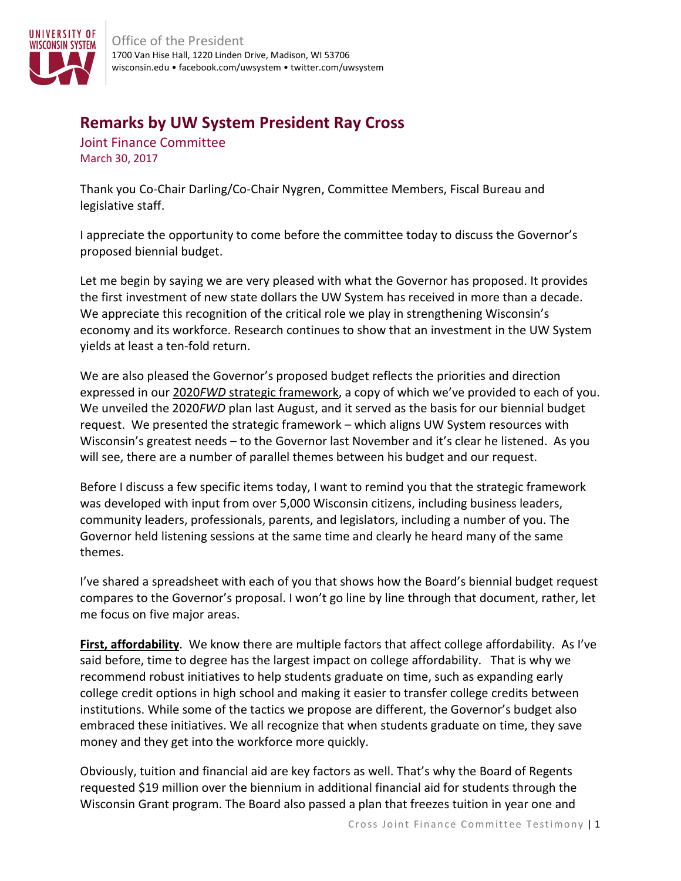

## **Remarks by UW System President Ray Cross**

Joint Finance Committee March 30, 2017

Thank you Co-Chair Darling/Co-Chair Nygren, Committee Members, Fiscal Bureau and legislative staff.

I appreciate the opportunity to come before the committee today to discuss the Governor's proposed biennial budget.

Let me begin by saying we are very pleased with what the Governor has proposed. It provides the first investment of new state dollars the UW System has received in more than a decade. We appreciate this recognition of the critical role we play in strengthening Wisconsin's economy and its workforce. Research continues to show that an investment in the UW System yields at least a ten-fold return.

We are also pleased the Governor's proposed budget reflects the priorities and direction expressed in our 2020*FWD* strategic framework, a copy of which we've provided to each of you. We unveiled the 2020*FWD* plan last August, and it served as the basis for our biennial budget request. We presented the strategic framework – which aligns UW System resources with Wisconsin's greatest needs – to the Governor last November and it's clear he listened. As you will see, there are a number of parallel themes between his budget and our request.

Before I discuss a few specific items today, I want to remind you that the strategic framework was developed with input from over 5,000 Wisconsin citizens, including business leaders, community leaders, professionals, parents, and legislators, including a number of you. The Governor held listening sessions at the same time and clearly he heard many of the same themes.

I've shared a spreadsheet with each of you that shows how the Board's biennial budget request compares to the Governor's proposal. I won't go line by line through that document, rather, let me focus on five major areas.

**First, affordability**. We know there are multiple factors that affect college affordability. As I've said before, time to degree has the largest impact on college affordability. That is why we recommend robust initiatives to help students graduate on time, such as expanding early college credit options in high school and making it easier to transfer college credits between institutions. While some of the tactics we propose are different, the Governor's budget also embraced these initiatives. We all recognize that when students graduate on time, they save money and they get into the workforce more quickly.

Obviously, tuition and financial aid are key factors as well. That's why the Board of Regents requested \$19 million over the biennium in additional financial aid for students through the Wisconsin Grant program. The Board also passed a plan that freezes tuition in year one and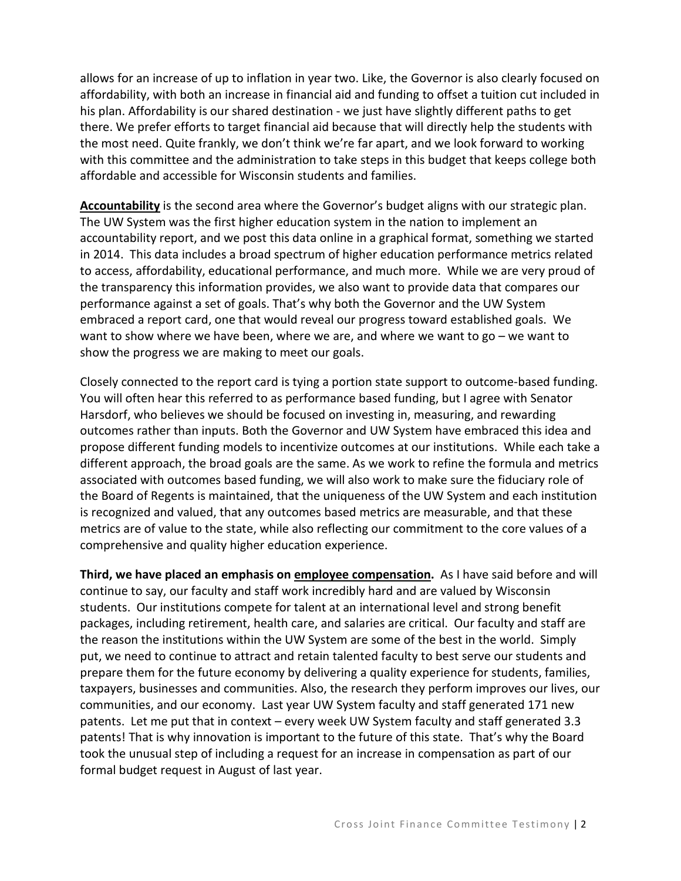allows for an increase of up to inflation in year two. Like, the Governor is also clearly focused on affordability, with both an increase in financial aid and funding to offset a tuition cut included in his plan. Affordability is our shared destination - we just have slightly different paths to get there. We prefer efforts to target financial aid because that will directly help the students with the most need. Quite frankly, we don't think we're far apart, and we look forward to working with this committee and the administration to take steps in this budget that keeps college both affordable and accessible for Wisconsin students and families.

**Accountability** is the second area where the Governor's budget aligns with our strategic plan. The UW System was the first higher education system in the nation to implement an accountability report, and we post this data online in a graphical format, something we started in 2014. This data includes a broad spectrum of higher education performance metrics related to access, affordability, educational performance, and much more. While we are very proud of the transparency this information provides, we also want to provide data that compares our performance against a set of goals. That's why both the Governor and the UW System embraced a report card, one that would reveal our progress toward established goals. We want to show where we have been, where we are, and where we want to go – we want to show the progress we are making to meet our goals.

Closely connected to the report card is tying a portion state support to outcome-based funding. You will often hear this referred to as performance based funding, but I agree with Senator Harsdorf, who believes we should be focused on investing in, measuring, and rewarding outcomes rather than inputs. Both the Governor and UW System have embraced this idea and propose different funding models to incentivize outcomes at our institutions. While each take a different approach, the broad goals are the same. As we work to refine the formula and metrics associated with outcomes based funding, we will also work to make sure the fiduciary role of the Board of Regents is maintained, that the uniqueness of the UW System and each institution is recognized and valued, that any outcomes based metrics are measurable, and that these metrics are of value to the state, while also reflecting our commitment to the core values of a comprehensive and quality higher education experience.

**Third, we have placed an emphasis on employee compensation.** As I have said before and will continue to say, our faculty and staff work incredibly hard and are valued by Wisconsin students. Our institutions compete for talent at an international level and strong benefit packages, including retirement, health care, and salaries are critical. Our faculty and staff are the reason the institutions within the UW System are some of the best in the world. Simply put, we need to continue to attract and retain talented faculty to best serve our students and prepare them for the future economy by delivering a quality experience for students, families, taxpayers, businesses and communities. Also, the research they perform improves our lives, our communities, and our economy. Last year UW System faculty and staff generated 171 new patents. Let me put that in context – every week UW System faculty and staff generated 3.3 patents! That is why innovation is important to the future of this state. That's why the Board took the unusual step of including a request for an increase in compensation as part of our formal budget request in August of last year.